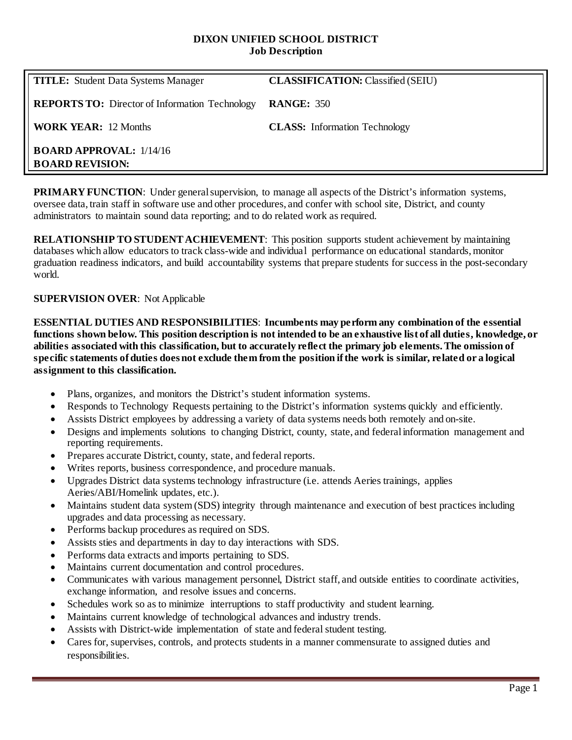#### **DIXON UNIFIED SCHOOL DISTRICT Job Description**

| <b>TITLE:</b> Student Data Systems Manager               | <b>CLASSIFICATION: Classified (SEIU)</b> |
|----------------------------------------------------------|------------------------------------------|
| <b>REPORTS TO:</b> Director of Information Technology    | <b>RANGE: 350</b>                        |
| <b>WORK YEAR:</b> 12 Months                              | <b>CLASS:</b> Information Technology     |
| <b>BOARD APPROVAL: 1/14/16</b><br><b>BOARD REVISION:</b> |                                          |

**PRIMARY FUNCTION:** Under general supervision, to manage all aspects of the District's information systems, oversee data, train staff in software use and other procedures, and confer with school site, District, and county administrators to maintain sound data reporting; and to do related work as required.

**RELATIONSHIP TO STUDENT ACHIEVEMENT**: This position supports student achievement by maintaining databases which allow educators to track class-wide and individual performance on educational standards, monitor graduation readiness indicators, and build accountability systems that prepare students for success in the post-secondary world.

#### **SUPERVISION OVER**: Not Applicable

**ESSENTIAL DUTIES AND RESPONSIBILITIES**: **Incumbents may perform any combination of the essential functions shown below. This position description is not intended to be an exhaustive list of all duties, knowledge, or abilities associated with this classification, but to accurately reflect the primary job elements. The omission of specific statements of duties does not exclude them from the position if the work is similar, related or a logical assignment to this classification.**

- Plans, organizes, and monitors the District's student information systems.
- Responds to Technology Requests pertaining to the District's information systems quickly and efficiently.
- Assists District employees by addressing a variety of data systems needs both remotely and on-site.
- Designs and implements solutions to changing District, county, state, and federal information management and reporting requirements.
- Prepares accurate District, county, state, and federal reports.
- Writes reports, business correspondence, and procedure manuals.
- Upgrades District data systems technology infrastructure (i.e. attends Aeries trainings, applies Aeries/ABI/Homelink updates, etc.).
- Maintains student data system (SDS) integrity through maintenance and execution of best practices including upgrades and data processing as necessary.
- Performs backup procedures as required on SDS.
- Assists sties and departments in day to day interactions with SDS.
- Performs data extracts and imports pertaining to SDS.
- Maintains current documentation and control procedures.
- Communicates with various management personnel, District staff, and outside entities to coordinate activities, exchange information, and resolve issues and concerns.
- Schedules work so as to minimize interruptions to staff productivity and student learning.
- Maintains current knowledge of technological advances and industry trends.
- Assists with District-wide implementation of state and federal student testing.
- Cares for, supervises, controls, and protects students in a manner commensurate to assigned duties and responsibilities.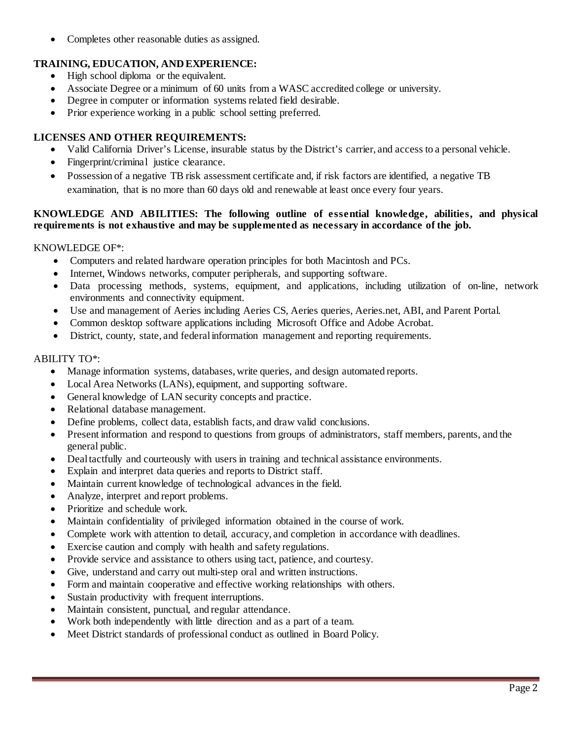• Completes other reasonable duties as assigned.

# **TRAINING, EDUCATION, AND EXPERIENCE:**

- High school diploma or the equivalent.
- Associate Degree or a minimum of 60 units from a WASC accredited college or university.
- Degree in computer or information systems related field desirable.
- Prior experience working in a public school setting preferred.

## **LICENSES AND OTHER REQUIREMENTS:**

- Valid California Driver's License, insurable status by the District's carrier, and access to a personal vehicle.
- Fingerprint/criminal justice clearance.
- Possession of a negative TB risk assessment certificate and, if risk factors are identified, a negative TB examination, that is no more than 60 days old and renewable at least once every four years.

### **KNOWLEDGE AND ABILITIES: The following outline of essential knowledge, abilities, and physical requirements is not exhaustive and may be supplemented as necessary in accordance of the job.**

#### KNOWLEDGE OF\*:

- Computers and related hardware operation principles for both Macintosh and PCs.
- Internet, Windows networks, computer peripherals, and supporting software.
- Data processing methods, systems, equipment, and applications, including utilization of on-line, network environments and connectivity equipment.
- Use and management of Aeries including Aeries CS, Aeries queries, Aeries.net, ABI, and Parent Portal.
- Common desktop software applications including Microsoft Office and Adobe Acrobat.
- District, county, state, and federal information management and reporting requirements.

### ABILITY TO\*:

- Manage information systems, databases, write queries, and design automated reports.
- Local Area Networks (LANs), equipment, and supporting software.
- General knowledge of LAN security concepts and practice.
- Relational database management.
- Define problems, collect data, establish facts, and draw valid conclusions.
- Present information and respond to questions from groups of administrators, staff members, parents, and the general public.
- Deal tactfully and courteously with users in training and technical assistance environments.
- Explain and interpret data queries and reports to District staff.
- Maintain current knowledge of technological advances in the field.
- Analyze, interpret and report problems.
- Prioritize and schedule work.
- Maintain confidentiality of privileged information obtained in the course of work.
- Complete work with attention to detail, accuracy, and completion in accordance with deadlines.
- Exercise caution and comply with health and safety regulations.
- Provide service and assistance to others using tact, patience, and courtesy.
- Give, understand and carry out multi-step oral and written instructions.
- Form and maintain cooperative and effective working relationships with others.
- Sustain productivity with frequent interruptions.
- Maintain consistent, punctual, and regular attendance.
- Work both independently with little direction and as a part of a team.
- Meet District standards of professional conduct as outlined in Board Policy.